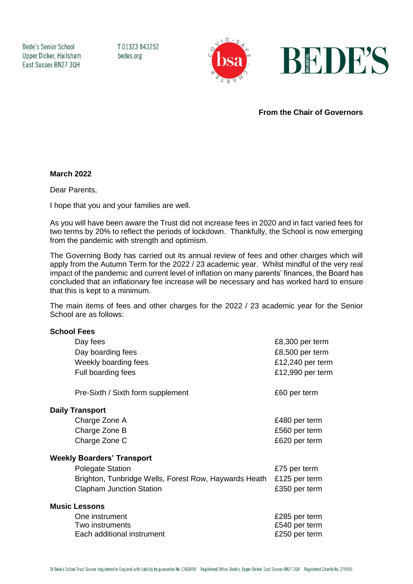Bede's Senior School Upper Dicker, Hailsham East Sussex BN27 3QH

T01323843252 bedes.org





**From the Chair of Governors**

## **March 2022**

Dear Parents,

I hope that you and your families are well.

As you will have been aware the Trust did not increase fees in 2020 and in fact varied fees for two terms by 20% to reflect the periods of lockdown. Thankfully, the School is now emerging from the pandemic with strength and optimism.

The Governing Body has carried out its annual review of fees and other charges which will apply from the Autumn Term for the 2022 / 23 academic year. Whilst mindful of the very real impact of the pandemic and current level of inflation on many parents' finances, the Board has concluded that an inflationary fee increase will be necessary and has worked hard to ensure that this is kept to a minimum.

The main items of fees and other charges for the 2022 / 23 academic year for the Senior School are as follows:

## **School Fees**

| Day fees                                              | £8,300 per term  |
|-------------------------------------------------------|------------------|
| Day boarding fees                                     | £8,500 per term  |
| Weekly boarding fees                                  | £12,240 per term |
| Full boarding fees                                    | £12,990 per term |
| Pre-Sixth / Sixth form supplement                     | £60 per term     |
| <b>Daily Transport</b>                                |                  |
| Charge Zone A                                         | £480 per term    |
| Charge Zone B                                         | £560 per term    |
| Charge Zone C                                         | £620 per term    |
| <b>Weekly Boarders' Transport</b>                     |                  |
| <b>Polegate Station</b>                               | £75 per term     |
| Brighton, Tunbridge Wells, Forest Row, Haywards Heath | £125 per term    |
| <b>Clapham Junction Station</b>                       | £350 per term    |
| <b>Music Lessons</b>                                  |                  |
| One instrument                                        | £285 per term    |
| Two instruments                                       | £540 per term    |
| Each additional instrument                            | £250 per term    |